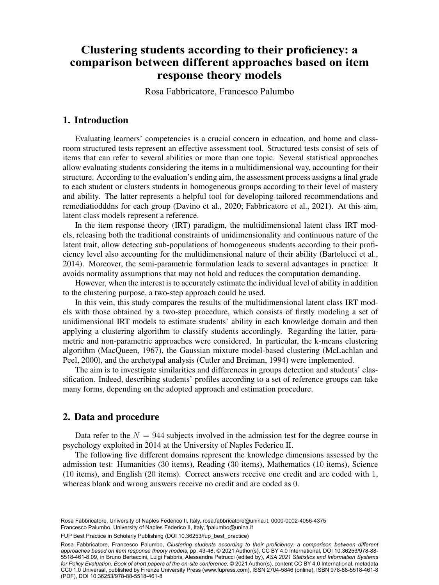## comparison between different approaches based on item a Department of Social Sciences, University of Society of Naples Federico II, Naples, Inc. response theory models **Clustering students according to their proficiency: a**

Rosa Fabbricatore, Francesco Palumbo

## 1. Introduction

Evaluating learners' competencies is a crucial concern in education, and home and classroom structured tests represent an effective assessment tool. Structured tests consist of sets of items that can refer to several abilities or more than one topic. Several statistical approaches allow evaluating students considering the items in a multidimensional way, accounting for their structure. According to the evaluation's ending aim, the assessment process assigns a final grade to each student or clusters students in homogeneous groups according to their level of mastery and ability. The latter represents a helpful tool for developing tailored recommendations and remediatiodddns for each group (Davino et al., 2020; Fabbricatore et al., 2021). At this aim, latent class models represent a reference.

In the item response theory (IRT) paradigm, the multidimensional latent class IRT models, releasing both the traditional constraints of unidimensionality and continuous nature of the latent trait, allow detecting sub-populations of homogeneous students according to their proficiency level also accounting for the multidimensional nature of their ability (Bartolucci et al., 2014). Moreover, the semi-parametric formulation leads to several advantages in practice: It avoids normality assumptions that may not hold and reduces the computation demanding.

However, when the interest is to accurately estimate the individual level of ability in addition to the clustering purpose, a two-step approach could be used.

In this vein, this study compares the results of the multidimensional latent class IRT models with those obtained by a two-step procedure, which consists of firstly modeling a set of unidimensional IRT models to estimate students' ability in each knowledge domain and then applying a clustering algorithm to classify students accordingly. Regarding the latter, parametric and non-parametric approaches were considered. In particular, the k-means clustering algorithm (MacQueen, 1967), the Gaussian mixture model-based clustering (McLachlan and Peel, 2000), and the archetypal analysis (Cutler and Breiman, 1994) were implemented.

The aim is to investigate similarities and differences in groups detection and students' classification. Indeed, describing students' profiles according to a set of reference groups can take many forms, depending on the adopted approach and estimation procedure.

## 2. Data and procedure

Data refer to the  $N = 944$  subjects involved in the admission test for the degree course in psychology exploited in 2014 at the University of Naples Federico II.

The following five different domains represent the knowledge dimensions assessed by the admission test: Humanities (30 items), Reading (30 items), Mathematics (10 items), Science (10 items), and English (20 items). Correct answers receive one credit and are coded with 1, whereas blank and wrong answers receive no credit and are coded as 0.

33 Rosa Fabbricatore, University of Naples Federico II, Italy, [rosa.fabbricatore@unina.it,](mailto:rosa.fabbricatore@unina.it) [0000-0002-4056-4375](https://orcid.org/0000-0002-4056-4375) Francesco Palumbo, University of Naples Federico II, Italy, [fpalumbo@unina.it](mailto:fpalumbo@unina.it)

FUP Best Practice in Scholarly Publishing (DOI [10.36253/fup\\_best\\_practice](https://doi.org/10.36253/fup_best_practice))

Rosa Fabbricatore, Francesco Palumbo, *Clustering students according to their proficiency: a comparison between different approaches based on item response theory models*, pp. 43-48, © 2021 Author(s), [CC BY 4.0 International,](http://creativecommons.org/licenses/by/4.0/legalcode) DOI [10.36253/978-88-](https://doi.org/10.36253/978-88-5518-461-8.09) [5518-461-8.09](https://doi.org/10.36253/978-88-5518-461-8.09), in Bruno Bertaccini, Luigi Fabbris, Alessandra Petrucci (edited by), *ASA 2021 Statistics and Information Systems for Policy Evaluation. Book of short papers of the on-site conference*, © 2021 Author(s), content [CC BY 4.0 International](http://creativecommons.org/licenses/by/4.0/legalcode), metadata [CC0 1.0 Universal,](https://creativecommons.org/publicdomain/zero/1.0/legalcode) published by Firenze University Press ([www.fupress.com\)](http://www.fupress.com), ISSN 2704-5846 (online), ISBN 978-88-5518-461-8 (PDF), DOI [10.36253/978-88-5518-461-8](https://doi.org/10.36253/978-88-5518-461-8)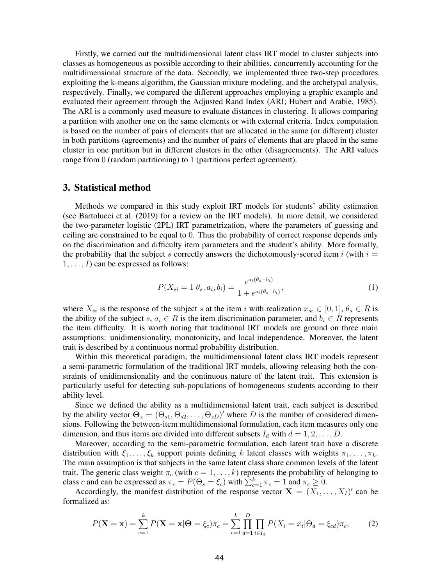Firstly, we carried out the multidimensional latent class IRT model to cluster subjects into classes as homogeneous as possible according to their abilities, concurrently accounting for the multidimensional structure of the data. Secondly, we implemented three two-step procedures exploiting the k-means algorithm, the Gaussian mixture modeling, and the archetypal analysis, respectively. Finally, we compared the different approaches employing a graphic example and evaluated their agreement through the Adjusted Rand Index (ARI; Hubert and Arabie, 1985). The ARI is a commonly used measure to evaluate distances in clustering. It allows comparing a partition with another one on the same elements or with external criteria. Index computation is based on the number of pairs of elements that are allocated in the same (or different) cluster in both partitions (agreements) and the number of pairs of elements that are placed in the same cluster in one partition but in different clusters in the other (disagreements). The ARI values range from 0 (random partitioning) to 1 (partitions perfect agreement).

#### 3. Statistical method

Methods we compared in this study exploit IRT models for students' ability estimation (see Bartolucci et al. (2019) for a review on the IRT models). In more detail, we considered the two-parameter logistic (2PL) IRT parametrization, where the parameters of guessing and ceiling are constrained to be equal to 0. Thus the probability of correct response depends only on the discrimination and difficulty item parameters and the student's ability. More formally, the probability that the subject s correctly answers the dichotomously-scored item i (with  $i =$  $1, \ldots, I$ ) can be expressed as follows:

$$
P(X_{si} = 1 | \theta_s, a_i, b_i) = \frac{e^{a_i(\theta_s - b_i)}}{1 + e^{a_i(\theta_s - b_i)}},
$$
\n(1)

where  $X_{si}$  is the response of the subject s at the item i with realization  $x_{si} \in [0,1], \theta_s \in R$  is the ability of the subject s,  $a_i \in R$  is the item discrimination parameter, and  $b_i \in R$  represents the item difficulty. It is worth noting that traditional IRT models are ground on three main assumptions: unidimensionality, monotonicity, and local independence. Moreover, the latent trait is described by a continuous normal probability distribution.

Within this theoretical paradigm, the multidimensional latent class IRT models represent a semi-parametric formulation of the traditional IRT models, allowing releasing both the constraints of unidimensionality and the continuous nature of the latent trait. This extension is particularly useful for detecting sub-populations of homogeneous students according to their ability level.

Since we defined the ability as a multidimensional latent trait, each subject is described by the ability vector  $\Theta_s = (\Theta_{s1}, \Theta_{s2}, \dots, \Theta_{sD})'$  where D is the number of considered dimensions. Following the between-item multidimensional formulation, each item measures only one dimension, and thus items are divided into different subsets  $I_d$  with  $d = 1, 2, \ldots, D$ .

Moreover, according to the semi-parametric formulation, each latent trait have a discrete distribution with  $\xi_1,\ldots,\xi_k$  support points defining k latent classes with weights  $\pi_1,\ldots,\pi_k$ . The main assumption is that subjects in the same latent class share common levels of the latent trait. The generic class weight  $\pi_c$  (with  $c = 1, \ldots, k$ ) represents the probability of belonging to class c and can be expressed as  $\pi_c = P(\Theta_s = \xi_c)$  with  $\sum_{c=1}^k \pi_c = 1$  and  $\pi_c \ge 0$ .

Accordingly, the manifest distribution of the response vector  $X = (X_1, \ldots, X_I)'$  can be formalized as:

$$
P(\mathbf{X} = \mathbf{x}) = \sum_{c=1}^{k} P(\mathbf{X} = \mathbf{x} | \mathbf{\Theta} = \xi_c) \pi_c = \sum_{c=1}^{k} \prod_{d=1}^{D} \prod_{i \in I_d} P(X_i = x_i | \mathbf{\Theta}_d = \xi_{cd}) \pi_c,
$$
 (2)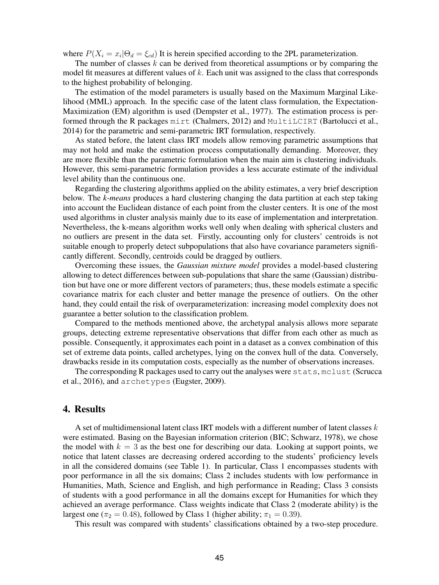where  $P(X_i = x_i | \Theta_d = \xi_{cd})$  It is herein specified according to the 2PL parameterization.

The number of classes  $k$  can be derived from theoretical assumptions or by comparing the model fit measures at different values of k. Each unit was assigned to the class that corresponds to the highest probability of belonging.

The estimation of the model parameters is usually based on the Maximum Marginal Likelihood (MML) approach. In the specific case of the latent class formulation, the Expectation-Maximization (EM) algorithm is used (Dempster et al., 1977). The estimation process is performed through the R packages mirt (Chalmers, 2012) and MultiLCIRT (Bartolucci et al., 2014) for the parametric and semi-parametric IRT formulation, respectively.

As stated before, the latent class IRT models allow removing parametric assumptions that may not hold and make the estimation process computationally demanding. Moreover, they are more flexible than the parametric formulation when the main aim is clustering individuals. However, this semi-parametric formulation provides a less accurate estimate of the individual level ability than the continuous one.

Regarding the clustering algorithms applied on the ability estimates, a very brief description below. The *k-means* produces a hard clustering changing the data partition at each step taking into account the Euclidean distance of each point from the cluster centers. It is one of the most used algorithms in cluster analysis mainly due to its ease of implementation and interpretation. Nevertheless, the k-means algorithm works well only when dealing with spherical clusters and no outliers are present in the data set. Firstly, accounting only for clusters' centroids is not suitable enough to properly detect subpopulations that also have covariance parameters significantly different. Secondly, centroids could be dragged by outliers.

Overcoming these issues, the *Gaussian mixture model* provides a model-based clustering allowing to detect differences between sub-populations that share the same (Gaussian) distribution but have one or more different vectors of parameters; thus, these models estimate a specific covariance matrix for each cluster and better manage the presence of outliers. On the other hand, they could entail the risk of overparameterization: increasing model complexity does not guarantee a better solution to the classification problem.

Compared to the methods mentioned above, the archetypal analysis allows more separate groups, detecting extreme representative observations that differ from each other as much as possible. Consequently, it approximates each point in a dataset as a convex combination of this set of extreme data points, called archetypes, lying on the convex hull of the data. Conversely, drawbacks reside in its computation costs, especially as the number of observations increases.

The corresponding R packages used to carry out the analyses were stats, mclust (Scrucca et al., 2016), and archetypes (Eugster, 2009).

#### 4. Results

A set of multidimensional latent class IRT models with a different number of latent classes  $k$ were estimated. Basing on the Bayesian information criterion (BIC; Schwarz, 1978), we chose the model with  $k = 3$  as the best one for describing our data. Looking at support points, we notice that latent classes are decreasing ordered according to the students' proficiency levels in all the considered domains (see Table 1). In particular, Class 1 encompasses students with poor performance in all the six domains; Class 2 includes students with low performance in Humanities, Math, Science and English, and high performance in Reading; Class 3 consists of students with a good performance in all the domains except for Humanities for which they achieved an average performance. Class weights indicate that Class 2 (moderate ability) is the largest one ( $\pi_2 = 0.48$ ), followed by Class 1 (higher ability;  $\pi_1 = 0.39$ ).

This result was compared with students' classifications obtained by a two-step procedure.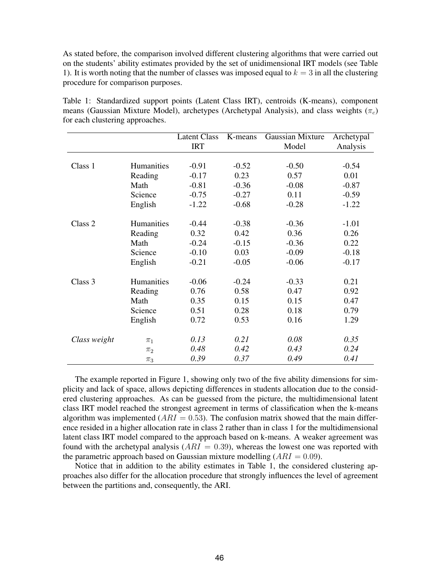As stated before, the comparison involved different clustering algorithms that were carried out on the students' ability estimates provided by the set of unidimensional IRT models (see Table 1). It is worth noting that the number of classes was imposed equal to  $k = 3$  in all the clustering procedure for comparison purposes.

|                                 |  | Table 1: Standardized support points (Latent Class IRT), centroids (K-means), component         |  |  |  |  |
|---------------------------------|--|-------------------------------------------------------------------------------------------------|--|--|--|--|
|                                 |  | means (Gaussian Mixture Model), archetypes (Archetypal Analysis), and class weights ( $\pi_c$ ) |  |  |  |  |
| for each clustering approaches. |  |                                                                                                 |  |  |  |  |

|              |                   | <b>Latent Class</b> | K-means | Gaussian Mixture | Archetypal |
|--------------|-------------------|---------------------|---------|------------------|------------|
|              |                   | <b>IRT</b>          |         | Model            | Analysis   |
|              |                   |                     |         |                  |            |
| Class 1      | <b>Humanities</b> |                     | $-0.52$ | $-0.50$          | $-0.54$    |
|              | Reading           | $-0.17$             | 0.23    | 0.57             | 0.01       |
|              | Math              | $-0.81$             | $-0.36$ | $-0.08$          | $-0.87$    |
|              | Science           | $-0.75$             | $-0.27$ | 0.11             | $-0.59$    |
|              | English           | $-1.22$             | $-0.68$ | $-0.28$          | $-1.22$    |
| Class 2      | Humanities        | $-0.44$             | $-0.38$ | $-0.36$          | $-1.01$    |
|              | Reading           | 0.32                | 0.42    | 0.36             | 0.26       |
|              | Math              | $-0.24$             | $-0.15$ | $-0.36$          | 0.22       |
|              | Science           | $-0.10$             | 0.03    | $-0.09$          | $-0.18$    |
|              | English           | $-0.21$             | $-0.05$ | $-0.06$          | $-0.17$    |
| Class 3      | Humanities        | $-0.06$             | $-0.24$ | $-0.33$          | 0.21       |
|              | Reading           | 0.76                | 0.58    | 0.47             | 0.92       |
|              | Math              | 0.35                | 0.15    | 0.15             | 0.47       |
|              | Science           | 0.51                | 0.28    | 0.18             | 0.79       |
|              | English           | 0.72                | 0.53    | 0.16             | 1.29       |
|              |                   | 0.13                | 0.21    | 0.08             | 0.35       |
| Class weight | $\pi_1$           | 0.48                | 0.42    | 0.43             | 0.24       |
|              | $\pi_2$           | 0.39                | 0.37    | 0.49             | 0.41       |
|              | $\pi_3$           |                     |         |                  |            |

The example reported in Figure 1, showing only two of the five ability dimensions for simplicity and lack of space, allows depicting differences in students allocation due to the considered clustering approaches. As can be guessed from the picture, the multidimensional latent class IRT model reached the strongest agreement in terms of classification when the k-means algorithm was implemented ( $ARI = 0.53$ ). The confusion matrix showed that the main difference resided in a higher allocation rate in class 2 rather than in class 1 for the multidimensional latent class IRT model compared to the approach based on k-means. A weaker agreement was found with the archetypal analysis  $(ARI = 0.39)$ , whereas the lowest one was reported with the parametric approach based on Gaussian mixture modelling  $(ARI = 0.09)$ .

Notice that in addition to the ability estimates in Table 1, the considered clustering approaches also differ for the allocation procedure that strongly influences the level of agreement between the partitions and, consequently, the ARI.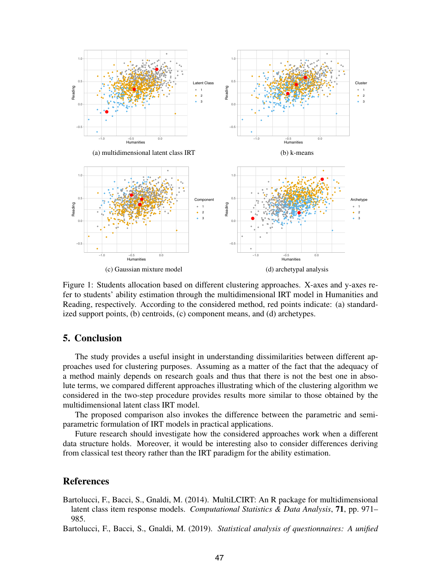

Figure 1: Students allocation based on different clustering approaches. X-axes and y-axes refer to students' ability estimation through the multidimensional IRT model in Humanities and Reading, respectively. According to the considered method, red points indicate: (a) standardized support points, (b) centroids, (c) component means, and (d) archetypes.

# 5. Conclusion

The study provides a useful insight in understanding dissimilarities between different approaches used for clustering purposes. Assuming as a matter of the fact that the adequacy of a method mainly depends on research goals and thus that there is not the best one in absolute terms, we compared different approaches illustrating which of the clustering algorithm we considered in the two-step procedure provides results more similar to those obtained by the multidimensional latent class IRT model.

The proposed comparison also invokes the difference between the parametric and semiparametric formulation of IRT models in practical applications.

Future research should investigate how the considered approaches work when a different data structure holds. Moreover, it would be interesting also to consider differences deriving from classical test theory rather than the IRT paradigm for the ability estimation.

## **References**

Bartolucci, F., Bacci, S., Gnaldi, M. (2014). MultiLCIRT: An R package for multidimensional latent class item response models. *Computational Statistics & Data Analysis*, 71, pp. 971– 985.

Bartolucci, F., Bacci, S., Gnaldi, M. (2019). *Statistical analysis of questionnaires: A unified*